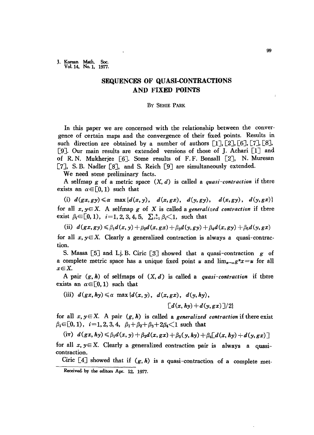J. Korean Math. Soc.<br>Vol. 14, No. 1, 1977.

## **SEQUENCES OF QUASI-CONTRACTIONS AND FIXED POINTS**

## By SEHIE PARK

In this paper we are concerned with the relationship between the convergence of certain maps and the convergence of their fixed points. Results in such direction are obtained by a number of authors  $[1]$ ,  $[2]$ ,  $[6]$ ,  $[7]$ ,  $[8]$ , [9]. Our main results are extended versions of those of J. Achari [lJ and of R. N. Mukherjee [6]. Some results of F. F. Bonsall [2J, N. Muresan [7], S. B. Nadler [8], and S. Reich [9] are simultaneously extended.

We need some preliminary facts.

A selfmap <sup>g</sup> of a metric space *(X, d)* is called a *quasi-contraction* if there exists an  $\alpha \in [0, 1)$  such that

(i)  $d(gx,gy) \leq \alpha \max\{d(x,y), d(x,gx), d(y,gy), d(x,gy), d(y,gx)\}\$ for all  $x, y \in X$ . A selfmap  $g$  of  $X$  is called a *generalized contraction* if there exist  $\beta_i \in [0, 1)$ ,  $i=1, 2, 3, 4, 5$ ,  $\sum_{i=1}^{5} \beta_i \leq 1$ , such that

(ii)  $d(gx, gy) \le \beta_1 d(x, y) + \beta_2 d(x, gx) + \beta_3 d(y, gy) + \beta_4 d(x, gy) + \beta_5 d(y, gx)$ 

for all  $x, y \in X$ . Clearly a generalized contraction is always a quasi-contraction.

S. Massa [5J and Lj. B. Ciric [3J showed that a quasi-contraction *g* of a complete metric space has a unique fixed point *u* and  $\lim_{n\to\infty} g^n x = u$  for all  $x \in X$ .

A pair *(g, h)* of selfmaps of *(X, d)* is called a *quasi-contraction* if there exists an  $\alpha \in [0,1)$  such that

(iii) 
$$
d(gx, hy) \leq \alpha \max\{d(x, y), d(x, gx), d(y, hy),\
$$
  

$$
[d(x, hy) + d(y, gx)]/2\}
$$

for all  $x, y \in X$ . A pair  $(g, h)$  is called a *generalized contraction* if there exist  $\beta_i \in [0, 1), i=1, 2, 3, 4, \beta_1 + \beta_2 + \beta_3 + 2\beta_4 \leq 1$  such that

 $(i\overline{v})$   $d(gx, hy) \leq \beta_1 d(x, y) + \beta_2 d(x, gx) + \beta_3(y, hy) + \beta_4 [d(x, hy) + d(y, gx)]$ 

for all  $x, y \in X$ . Clearly a generalized contraction pair is always a quasicontraction.

Ciric  $[4]$  showed that if  $(g, h)$  is a quasi-contraction of a complete met-

Received by the editors Apr. 12, 1977.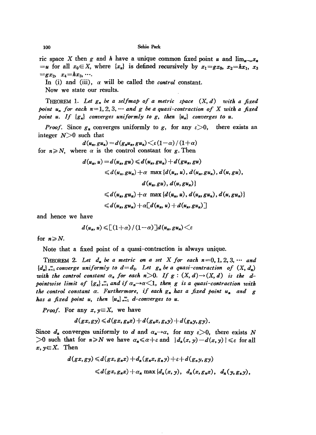## 100 Sehie Park

ric space X then g and *h* have a unique common fixed point *u* and  $\lim_{x\to\infty}x_x$ .  $=$ *u* for all  $x_0 \in X$ , where  $\{x_n\}$  is defined recursively by  $x_1 = gx_0$ ,  $x_2 = hx_1$ ,  $x_3$  $= g x_2, x_4=h x_3, \cdots$ 

In (i) and (iii),  $\alpha$  will be called the *control* constant.

Now we state our results.

THEOREM 1. *Let g,. be a selfmap of a metric space* (X, *d) with a fixed point*  $u_n$  *for* each  $n=1, 2, 3, \cdots$  *and g be a quasi-contraction* of X with *a fixed point*  $u$ . If  ${g_n}$  *converges uniformly to g*, *then*  ${u_n}$  *converges to*  $u$ .

*Proof.* Since  $g_n$  converges uniformly to *g*, for any  $\varepsilon > 0$ , there exists an integer  $N>0$  such that

$$
d(u_n, gu_n) = d(g_n u_n, gu_n) \leq \varepsilon (1-\alpha) / (1+\alpha)
$$
  
for  $n \geq N$ , where  $\alpha$  is the control constant for g. Then

$$
d(u_n, u) = d(u_n, gu) \le d(u_n, gu_n) + d(gu_n, gu)
$$
  
\n
$$
\le d(u_n, gu_n) + \alpha \max \{d(u_n, u), d(u_n, gu_n), d(u, gu),
$$
  
\n
$$
d(u_n, gu), d(u, gu_n)\}
$$
  
\n
$$
\le d(u_n, gu_n) + \alpha \max \{d(u_n, u), d(u_n, gu_n), d(u, gu_n)\}
$$
  
\n
$$
\le d(u_n, gu_n) + \alpha [d(u_n, u) + d(u_n, gu_n)]
$$

and hence we have

$$
d(u_n, u) \leqslant \left[ \left(1+\alpha\right) / \left(1-\alpha\right) \right] d(u_n, gu_n) \leqslant \varepsilon
$$

for  $n \ge N$ .

Note that a fixed point of a quasi-contraction is always unique.

THEOREM 2. Let  $d_n$  be a metric on a set X for each  $n=0, 1, 2, 3, \cdots$  and  ${d_n}_n$   $\infty$  *converge uniformly to*  $d=d_0$ . Let  $g_n$  *be a quasi-contraction* of  $(X, d_n)$ *with the control constant*  $\alpha_n$  *for each*  $n>0$ . If  $g: (X, d) \rightarrow (X, d)$  *is the dpointwise limit of*  ${g_n}_{n=1}^{\infty}$  *and if*  $\alpha_n \rightarrow \alpha \leq 1$ , then g is a quasi-contraction with *the* control constant  $\alpha$ . Furthermore, if each  $g_n$  has a fixed point  $u_n$  and  $g$ *has a fixed point u*, *then*  $\{u_n\}_{n=1}^{\infty}$  *d-converges to u.* 

*Proof.* For any  $x, y \in X$ , we have

$$
d(gx,gy) \leq d(gx,g_nx) + d(g_nx,g_ny) + d(g_ny,gy).
$$

Since  $d_n$  converges uniformly to *d* and  $\alpha_n \rightarrow \alpha$ , for any  $\varepsilon > 0$ , there exists *N*  $>0$  such that for  $n \geq N$  we have  $\alpha_n \leq \alpha + \varepsilon$  and  $|d_n(x, y) - d(x, y)| \leq \varepsilon$  for all  $x, y \in X$ . Then

$$
d(gx, gy) \leq d(gx, g_n x) + d_n(g_n x, g_n y) + \varepsilon + d(g_n y, gy)
$$
  
 
$$
\leq d(gx, g_n x) + \alpha_n \max \{d_n(x, y), d_n(x, g_n x), d_n(y, g_n y), d_n(y, g_n y)\}
$$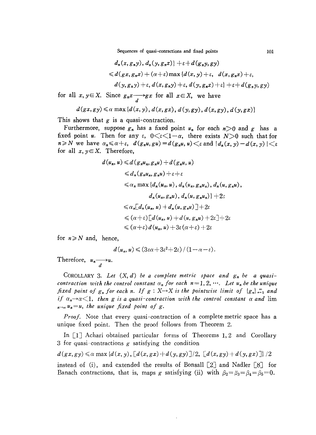Sequences of quasi-conractions and fixed points 101

$$
d_n(x, g_n y), d_n(y, g_n x) + \varepsilon + d(g_n y, g y)
$$
  
\n
$$
\leq d(gx, g_n x) + (\alpha + \varepsilon) \max \{d(x, y) + \varepsilon, d(x, g_n x) + \varepsilon, d(y, g_n y) + \varepsilon, d(y, g_n x) + \varepsilon\} + \varepsilon + d(g_n y, g y)
$$

for all  $x, y \in X$ . Since  $g_n x \longrightarrow g x$  for all  $x \in X$ , we have

$$
d(gx,gy) \leq \alpha \max \{d(x,y), d(x,gx), d(y,gy), d(x,gy), d(y,gx)\}\
$$

This shows that  $g$  is a quasi-contraction.

Furthermore, suppose  $g_n$  has a fixed point  $u_n$  for each  $n>0$  and  $g$  has a fixed point *u*. Then for any  $\varepsilon$ ,  $0 \leq \varepsilon \leq 1-\alpha$ , there exists  $N>0$  such that for  $n \ge N$  we have  $\alpha_n \le \alpha + \varepsilon$ ,  $d(g_nu,gu) = d(g_nu, u) < \varepsilon$  and  $|d_n(x, y) - d(x, y)| < \varepsilon$ for all  $x, y \in X$ . Therefore,

$$
d(u_n, u) \leq d(g_nu_n, g_nu) + d(g_nu, u)
$$
  
\n
$$
\leq d_n(g_nu_n, g_nu) + \varepsilon + \varepsilon
$$
  
\n
$$
\leq \alpha_n \max \{d_n(u_n, u), d_n(u_n, g_nu_n), d_n(u, g_nu),
$$
  
\n
$$
d_n(u_n, g_nu), d_n(u, g_nu_n)\} + 2\varepsilon
$$
  
\n
$$
\leq \alpha_n \big[d_n(u_n, u) + d_n(u, g_nu) \big] + 2\varepsilon
$$
  
\n
$$
\leq (\alpha + \varepsilon) \big[d(u_n, u) + d(u, g_nu) + 2\varepsilon \big] + 2\varepsilon
$$
  
\n
$$
\leq (\alpha + \varepsilon) d(u_n, u) + 3\varepsilon (\alpha + \varepsilon) + 2\varepsilon
$$

for  $n \geq N$  and, hence,

$$
d(u_n, u) \leq (3\varepsilon\alpha + 3\varepsilon^2 + 2\varepsilon) / (1 - \alpha - \varepsilon).
$$

Therefore,  $u_n \longrightarrow u$ . d

COROLLARY 3. Let  $(X, d)$  be a complete metric space and  $g_n$  be a quasi*contraction with the control constant*  $\alpha_n$  *for each*  $n=1, 2, \cdots$ . Let  $u_n$  be the unique *fixed point* of  $g_n$  *for each n. If*  $g: X \rightarrow X$  *is the pointwise limit* of  $\{g_n\}_{n=1}^{\infty}$  *and if*  $\alpha_n \rightarrow \alpha \leq 1$ , then g *is* a quasi-contraction with the control constant  $\alpha$  and lim  $u_n \rightarrow \infty$   $u_n = u$ , the *unique* fixed *point* of *g*.

*Proof.* Note that every quasi-contraction of a complete metric space has a unique fixed point. Then the proof follows from Theorem 2.

In  $\lceil 1 \rceil$  Achari obtained particular forms of Theorems 1, 2 and Corollary 3 for quasi~contractions *g* satisfying the condition

 $d(gx, gy) \leq \alpha \max \{d(x, y), \lceil d(x, gx) + d(y, gy) \rceil/2, \lceil d(x, gy) + d(y, gx) \rceil \}/2$ 

instead of (i), and extended the results of Bonsall  $[2]$  and Nadler  $[8]$  for Banach contractions, that is, maps *g* satisfying (ii) with  $\beta_2 = \beta_3 = \beta_4 = \beta_5 = 0$ .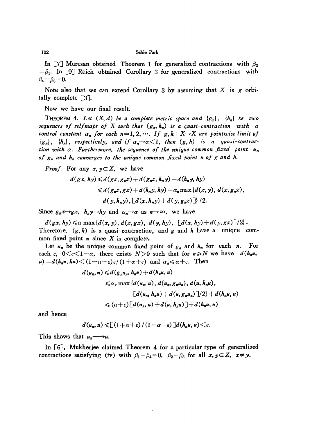102 Sehie Park

In [7] Muresan obtained Theorem 1 for generalized contractions with  $\beta_2$  $=$   $\beta_3$ . In [9] Reich obtained Corollary 3 for generalized contractions with  $\beta_4 = \beta_5 = 0.$ 

Note also that we can extend Corollary 3 by assuming that X is  $g$ -orbitally complete [3J.

Now we have our final result.

THEOREM 4. *Let (X, d) be a complete metric space and {gn}, {kn} le tu:o* sequences of selfmaps of X such that  $(g_n, h_n)$  is a *quasi-contraction* with *a control constant*  $\alpha_n$  *for each*  $n=1,2,\cdots$ . If  $g, h: X \rightarrow X$  are *pointwise limit of*  ${s_n}, {h_n},$  *respectively, and if*  $\alpha_n \rightarrow \alpha \leq 1$ *, then*  $(g, h)$  *is a quasi-contraction with a. Furthermore, the sequence of the unique common fixed point Un of gn and hn converges to the unique common fixed point <sup>u</sup> of <sup>g</sup> and h.*

*Proof.* For any  $x, y \in X$ , we have

$$
d(gx, hy) \leq d(gx, g_nx) + d(g_nx, h_ny) + d(h_ny, hy)
$$
  
\n
$$
\leq d(g_nx, gx) + d(h_ny, hy) + \alpha_n \max \{d(x, y), d(x, g_nx),
$$
  
\n
$$
d(y, h_ny), [d(x, h_ny) + d(y, g_nx)]] \}/2.
$$

Since  $g_n x \rightarrow g x$ ,  $h_n y \rightarrow h y$  and  $\alpha_n \rightarrow \alpha$  as  $n \rightarrow \infty$ , we have

 $d(gx, hy) \leq \alpha \max \{d(x, y), d(x, gx), d(y, hy), [d(x, hy) + d(y, gx)]/2\}.$ Therefore,  $(g, h)$  is a quasi-contraction, and *g* and *h* have a unique common fixed point *u* since X is complete.

Let  $u_n$  be the unique common fixed point of  $g_n$  and  $h_n$  for each *n*. For each  $\varepsilon$ ,  $0 \lt \varepsilon \lt 1 - \alpha$ , there exists  $N > 0$  such that for  $n \ge N$  we have  $d(h_n u, \alpha)$  $u$ ) =  $d(h_nu, hu)$   $\lt$   $(1-\alpha-\varepsilon)\varepsilon/(1+\alpha+\varepsilon)$  and  $\alpha_n \le \alpha+\varepsilon$ . Then

$$
d(u_n, u) \leq d(g_n u_n, h_n u) + d(h_n u, u)
$$
  
\n
$$
\leq \alpha_n \max \{d(u_n, u), d(u_n, g_n u_n), d(u, h_n u),
$$
  
\n
$$
[d(u_n, h_n u) + d(u, g_n u_n)]/2\} + d(h_n u, u)
$$
  
\n
$$
\leq (\alpha + \varepsilon) [d(u_n, u) + d(u, h_n u)] + d(h_n u, u)
$$

and hence

$$
d(u_n, u) \leqslant \left[ \left(1+\alpha+\varepsilon\right)/\left(1-\alpha-\varepsilon\right) \right] d(h_n u, u) \leqslant \varepsilon.
$$

This shows that  $u_n \longrightarrow u$ .

**In** [6J, Mukherjee claimed Theorem 4 for a particular type of generalized contractions satisfying (iv) with  $\beta_1 = \beta_4 = 0$ ,  $\beta_2 = \beta_3$  for all  $x, y \in X$ ,  $x \neq y$ .